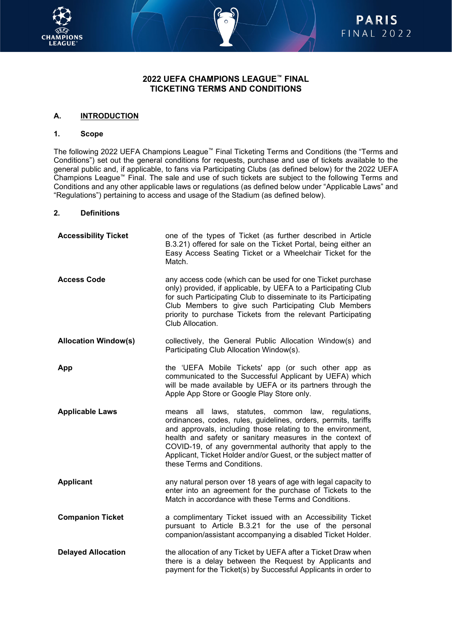



## **2022 UEFA CHAMPIONS LEAGUE™ FINAL TICKETING TERMS AND CONDITIONS**

### **A. INTRODUCTION**

#### **1. Scope**

The following 2022 UEFA Champions League™ Final Ticketing Terms and Conditions (the "Terms and Conditions") set out the general conditions for requests, purchase and use of tickets available to the general public and, if applicable, to fans via Participating Clubs (as defined below) for the 2022 UEFA Champions League™ Final. The sale and use of such tickets are subject to the following Terms and Conditions and any other applicable laws or regulations (as defined below under "Applicable Laws" and "Regulations") pertaining to access and usage of the Stadium (as defined below).

## **2. Definitions**

| <b>Accessibility Ticket</b> | one of the types of Ticket (as further described in Article<br>B.3.21) offered for sale on the Ticket Portal, being either an<br>Easy Access Seating Ticket or a Wheelchair Ticket for the<br>Match.                                                                                                                                                                                                              |
|-----------------------------|-------------------------------------------------------------------------------------------------------------------------------------------------------------------------------------------------------------------------------------------------------------------------------------------------------------------------------------------------------------------------------------------------------------------|
| <b>Access Code</b>          | any access code (which can be used for one Ticket purchase<br>only) provided, if applicable, by UEFA to a Participating Club<br>for such Participating Club to disseminate to its Participating<br>Club Members to give such Participating Club Members<br>priority to purchase Tickets from the relevant Participating<br>Club Allocation.                                                                       |
| <b>Allocation Window(s)</b> | collectively, the General Public Allocation Window(s) and<br>Participating Club Allocation Window(s).                                                                                                                                                                                                                                                                                                             |
| App                         | the 'UEFA Mobile Tickets' app (or such other app as<br>communicated to the Successful Applicant by UEFA) which<br>will be made available by UEFA or its partners through the<br>Apple App Store or Google Play Store only.                                                                                                                                                                                        |
| <b>Applicable Laws</b>      | all laws, statutes, common law, regulations,<br>means<br>ordinances, codes, rules, guidelines, orders, permits, tariffs<br>and approvals, including those relating to the environment,<br>health and safety or sanitary measures in the context of<br>COVID-19, of any governmental authority that apply to the<br>Applicant, Ticket Holder and/or Guest, or the subject matter of<br>these Terms and Conditions. |
| <b>Applicant</b>            | any natural person over 18 years of age with legal capacity to<br>enter into an agreement for the purchase of Tickets to the<br>Match in accordance with these Terms and Conditions.                                                                                                                                                                                                                              |
| <b>Companion Ticket</b>     | a complimentary Ticket issued with an Accessibility Ticket<br>pursuant to Article B.3.21 for the use of the personal<br>companion/assistant accompanying a disabled Ticket Holder.                                                                                                                                                                                                                                |
| <b>Delayed Allocation</b>   | the allocation of any Ticket by UEFA after a Ticket Draw when<br>there is a delay between the Request by Applicants and<br>payment for the Ticket(s) by Successful Applicants in order to                                                                                                                                                                                                                         |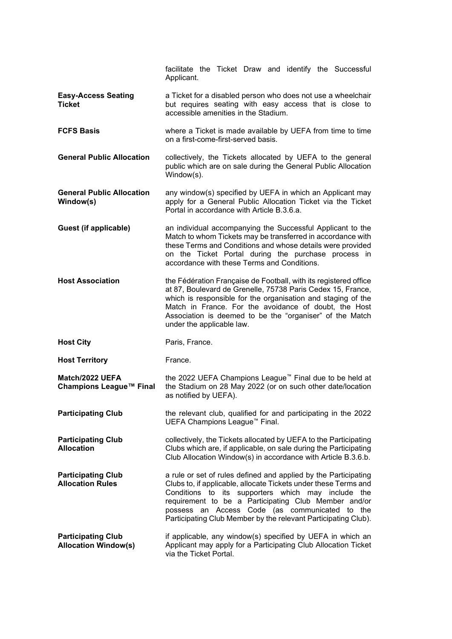|                                                      | facilitate the Ticket Draw and identify the Successful<br>Applicant.                                                                                                                                                                                                                                                                                                 |
|------------------------------------------------------|----------------------------------------------------------------------------------------------------------------------------------------------------------------------------------------------------------------------------------------------------------------------------------------------------------------------------------------------------------------------|
| <b>Easy-Access Seating</b><br><b>Ticket</b>          | a Ticket for a disabled person who does not use a wheelchair<br>but requires seating with easy access that is close to<br>accessible amenities in the Stadium.                                                                                                                                                                                                       |
| <b>FCFS Basis</b>                                    | where a Ticket is made available by UEFA from time to time<br>on a first-come-first-served basis.                                                                                                                                                                                                                                                                    |
| <b>General Public Allocation</b>                     | collectively, the Tickets allocated by UEFA to the general<br>public which are on sale during the General Public Allocation<br>Window(s).                                                                                                                                                                                                                            |
| <b>General Public Allocation</b><br>Window(s)        | any window(s) specified by UEFA in which an Applicant may<br>apply for a General Public Allocation Ticket via the Ticket<br>Portal in accordance with Article B.3.6.a.                                                                                                                                                                                               |
| Guest (if applicable)                                | an individual accompanying the Successful Applicant to the<br>Match to whom Tickets may be transferred in accordance with<br>these Terms and Conditions and whose details were provided<br>on the Ticket Portal during the purchase process in<br>accordance with these Terms and Conditions.                                                                        |
| <b>Host Association</b>                              | the Fédération Française de Football, with its registered office<br>at 87, Boulevard de Grenelle, 75738 Paris Cedex 15, France,<br>which is responsible for the organisation and staging of the<br>Match in France. For the avoidance of doubt, the Host<br>Association is deemed to be the "organiser" of the Match<br>under the applicable law.                    |
| <b>Host City</b>                                     | Paris, France.                                                                                                                                                                                                                                                                                                                                                       |
|                                                      |                                                                                                                                                                                                                                                                                                                                                                      |
| <b>Host Territory</b>                                | France.                                                                                                                                                                                                                                                                                                                                                              |
| Match/2022 UEFA<br>Champions League™ Final           | the 2022 UEFA Champions League™ Final due to be held at<br>the Stadium on 28 May 2022 (or on such other date/location<br>as notified by UEFA).                                                                                                                                                                                                                       |
| <b>Participating Club</b>                            | the relevant club, qualified for and participating in the 2022<br>UEFA Champions League <sup>™</sup> Final.                                                                                                                                                                                                                                                          |
| <b>Participating Club</b><br><b>Allocation</b>       | collectively, the Tickets allocated by UEFA to the Participating<br>Clubs which are, if applicable, on sale during the Participating<br>Club Allocation Window(s) in accordance with Article B.3.6.b.                                                                                                                                                                |
| <b>Participating Club</b><br><b>Allocation Rules</b> | a rule or set of rules defined and applied by the Participating<br>Clubs to, if applicable, allocate Tickets under these Terms and<br>Conditions to its supporters which may include the<br>requirement to be a Participating Club Member and/or<br>possess an Access Code (as communicated to the<br>Participating Club Member by the relevant Participating Club). |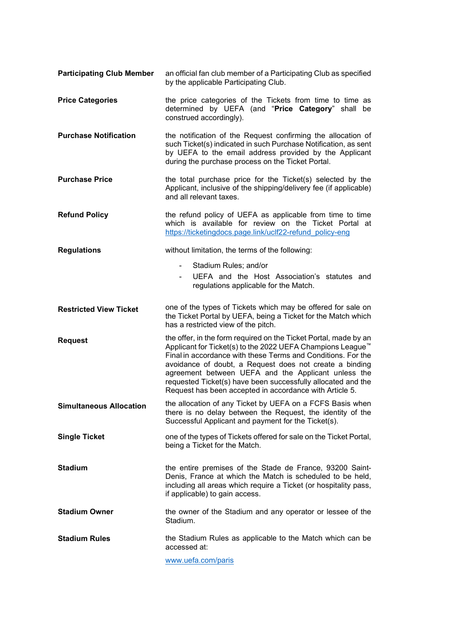| <b>Participating Club Member</b> | an official fan club member of a Participating Club as specified<br>by the applicable Participating Club.                                                                                                                                                                                                                                                                                                                                               |
|----------------------------------|---------------------------------------------------------------------------------------------------------------------------------------------------------------------------------------------------------------------------------------------------------------------------------------------------------------------------------------------------------------------------------------------------------------------------------------------------------|
| <b>Price Categories</b>          | the price categories of the Tickets from time to time as<br>determined by UEFA (and "Price Category" shall be<br>construed accordingly).                                                                                                                                                                                                                                                                                                                |
| <b>Purchase Notification</b>     | the notification of the Request confirming the allocation of<br>such Ticket(s) indicated in such Purchase Notification, as sent<br>by UEFA to the email address provided by the Applicant<br>during the purchase process on the Ticket Portal.                                                                                                                                                                                                          |
| <b>Purchase Price</b>            | the total purchase price for the Ticket(s) selected by the<br>Applicant, inclusive of the shipping/delivery fee (if applicable)<br>and all relevant taxes.                                                                                                                                                                                                                                                                                              |
| <b>Refund Policy</b>             | the refund policy of UEFA as applicable from time to time<br>which is available for review on the Ticket Portal at<br>https://ticketingdocs.page.link/uclf22-refund policy-eng                                                                                                                                                                                                                                                                          |
| <b>Regulations</b>               | without limitation, the terms of the following:                                                                                                                                                                                                                                                                                                                                                                                                         |
|                                  | Stadium Rules; and/or                                                                                                                                                                                                                                                                                                                                                                                                                                   |
|                                  | UEFA and the Host Association's statutes and<br>regulations applicable for the Match.                                                                                                                                                                                                                                                                                                                                                                   |
| <b>Restricted View Ticket</b>    | one of the types of Tickets which may be offered for sale on<br>the Ticket Portal by UEFA, being a Ticket for the Match which<br>has a restricted view of the pitch.                                                                                                                                                                                                                                                                                    |
| <b>Request</b>                   | the offer, in the form required on the Ticket Portal, made by an<br>Applicant for Ticket(s) to the 2022 UEFA Champions League <sup>™</sup><br>Final in accordance with these Terms and Conditions. For the<br>avoidance of doubt, a Request does not create a binding<br>agreement between UEFA and the Applicant unless the<br>requested Ticket(s) have been successfully allocated and the<br>Request has been accepted in accordance with Article 5. |
| <b>Simultaneous Allocation</b>   | the allocation of any Ticket by UEFA on a FCFS Basis when<br>there is no delay between the Request, the identity of the<br>Successful Applicant and payment for the Ticket(s).                                                                                                                                                                                                                                                                          |
| <b>Single Ticket</b>             | one of the types of Tickets offered for sale on the Ticket Portal,<br>being a Ticket for the Match.                                                                                                                                                                                                                                                                                                                                                     |
| <b>Stadium</b>                   | the entire premises of the Stade de France, 93200 Saint-<br>Denis, France at which the Match is scheduled to be held,<br>including all areas which require a Ticket (or hospitality pass,<br>if applicable) to gain access.                                                                                                                                                                                                                             |
| <b>Stadium Owner</b>             | the owner of the Stadium and any operator or lessee of the<br>Stadium.                                                                                                                                                                                                                                                                                                                                                                                  |
| <b>Stadium Rules</b>             | the Stadium Rules as applicable to the Match which can be<br>accessed at:                                                                                                                                                                                                                                                                                                                                                                               |
|                                  | www.uefa.com/paris                                                                                                                                                                                                                                                                                                                                                                                                                                      |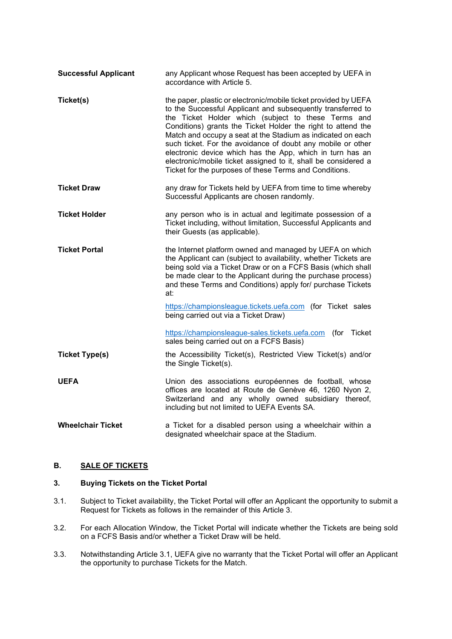| <b>Successful Applicant</b> | any Applicant whose Request has been accepted by UEFA in<br>accordance with Article 5.                                                                                                                                                                                                                                                                                                                                                                                                                                                                                       |
|-----------------------------|------------------------------------------------------------------------------------------------------------------------------------------------------------------------------------------------------------------------------------------------------------------------------------------------------------------------------------------------------------------------------------------------------------------------------------------------------------------------------------------------------------------------------------------------------------------------------|
| Ticket(s)                   | the paper, plastic or electronic/mobile ticket provided by UEFA<br>to the Successful Applicant and subsequently transferred to<br>the Ticket Holder which (subject to these Terms and<br>Conditions) grants the Ticket Holder the right to attend the<br>Match and occupy a seat at the Stadium as indicated on each<br>such ticket. For the avoidance of doubt any mobile or other<br>electronic device which has the App, which in turn has an<br>electronic/mobile ticket assigned to it, shall be considered a<br>Ticket for the purposes of these Terms and Conditions. |
| <b>Ticket Draw</b>          | any draw for Tickets held by UEFA from time to time whereby<br>Successful Applicants are chosen randomly.                                                                                                                                                                                                                                                                                                                                                                                                                                                                    |
| <b>Ticket Holder</b>        | any person who is in actual and legitimate possession of a<br>Ticket including, without limitation, Successful Applicants and<br>their Guests (as applicable).                                                                                                                                                                                                                                                                                                                                                                                                               |
| <b>Ticket Portal</b>        | the Internet platform owned and managed by UEFA on which<br>the Applicant can (subject to availability, whether Tickets are<br>being sold via a Ticket Draw or on a FCFS Basis (which shall<br>be made clear to the Applicant during the purchase process)<br>and these Terms and Conditions) apply for/ purchase Tickets<br>at:                                                                                                                                                                                                                                             |
|                             | https://championsleague.tickets.uefa.com (for Ticket sales<br>being carried out via a Ticket Draw)                                                                                                                                                                                                                                                                                                                                                                                                                                                                           |
|                             | https://championsleague-sales.tickets.uefa.com (for Ticket<br>sales being carried out on a FCFS Basis)                                                                                                                                                                                                                                                                                                                                                                                                                                                                       |
| <b>Ticket Type(s)</b>       | the Accessibility Ticket(s), Restricted View Ticket(s) and/or<br>the Single Ticket(s).                                                                                                                                                                                                                                                                                                                                                                                                                                                                                       |
| <b>UEFA</b>                 | Union des associations européennes de football, whose<br>offices are located at Route de Genève 46, 1260 Nyon 2,<br>Switzerland and any wholly owned subsidiary thereof,<br>including but not limited to UEFA Events SA.                                                                                                                                                                                                                                                                                                                                                     |
| <b>Wheelchair Ticket</b>    | a Ticket for a disabled person using a wheelchair within a<br>designated wheelchair space at the Stadium.                                                                                                                                                                                                                                                                                                                                                                                                                                                                    |

# **B. SALE OF TICKETS**

## <span id="page-3-0"></span>**3. Buying Tickets on the Ticket Portal**

- <span id="page-3-1"></span>3.1. Subject to Ticket availability, the Ticket Portal will offer an Applicant the opportunity to submit a Request for Tickets as follows in the remainder of this Article [3.](#page-3-0)
- 3.2. For each Allocation Window, the Ticket Portal will indicate whether the Tickets are being sold on a FCFS Basis and/or whether a Ticket Draw will be held.
- 3.3. Notwithstanding Article [3.1,](#page-3-1) UEFA give no warranty that the Ticket Portal will offer an Applicant the opportunity to purchase Tickets for the Match.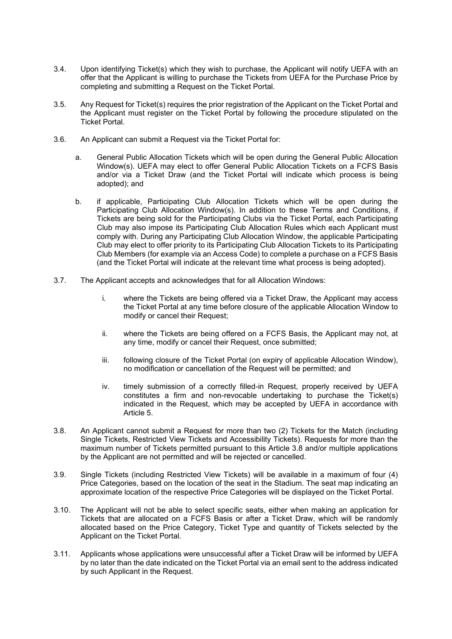- 3.4. Upon identifying Ticket(s) which they wish to purchase, the Applicant will notify UEFA with an offer that the Applicant is willing to purchase the Tickets from UEFA for the Purchase Price by completing and submitting a Request on the Ticket Portal.
- 3.5. Any Request for Ticket(s) requires the prior registration of the Applicant on the Ticket Portal and the Applicant must register on the Ticket Portal by following the procedure stipulated on the Ticket Portal.
- <span id="page-4-0"></span>3.6. An Applicant can submit a Request via the Ticket Portal for:
	- a. General Public Allocation Tickets which will be open during the General Public Allocation Window(s). UEFA may elect to offer General Public Allocation Tickets on a FCFS Basis and/or via a Ticket Draw (and the Ticket Portal will indicate which process is being adopted); and
	- b. if applicable, Participating Club Allocation Tickets which will be open during the Participating Club Allocation Window(s). In addition to these Terms and Conditions, if Tickets are being sold for the Participating Clubs via the Ticket Portal, each Participating Club may also impose its Participating Club Allocation Rules which each Applicant must comply with. During any Participating Club Allocation Window, the applicable Participating Club may elect to offer priority to its Participating Club Allocation Tickets to its Participating Club Members (for example via an Access Code) to complete a purchase on a FCFS Basis (and the Ticket Portal will indicate at the relevant time what process is being adopted).
- <span id="page-4-1"></span>3.7. The Applicant accepts and acknowledges that for all Allocation Windows:
	- i. where the Tickets are being offered via a Ticket Draw, the Applicant may access the Ticket Portal at any time before closure of the applicable Allocation Window to modify or cancel their Request:
	- ii. where the Tickets are being offered on a FCFS Basis, the Applicant may not, at any time, modify or cancel their Request, once submitted;
	- iii. following closure of the Ticket Portal (on expiry of applicable Allocation Window), no modification or cancellation of the Request will be permitted; and
	- iv. timely submission of a correctly filled-in Request, properly received by UEFA constitutes a firm and non-revocable undertaking to purchase the Ticket(s) indicated in the Request, which may be accepted by UEFA in accordance with Article [5.](#page-7-0)
- <span id="page-4-2"></span>3.8. An Applicant cannot submit a Request for more than two (2) Tickets for the Match (including Single Tickets, Restricted View Tickets and Accessibility Tickets). Requests for more than the maximum number of Tickets permitted pursuant to this Article [3.8](#page-4-2) and/or multiple applications by the Applicant are not permitted and will be rejected or cancelled.
- 3.9. Single Tickets (including Restricted View Tickets) will be available in a maximum of four (4) Price Categories, based on the location of the seat in the Stadium. The seat map indicating an approximate location of the respective Price Categories will be displayed on the Ticket Portal.
- 3.10. The Applicant will not be able to select specific seats, either when making an application for Tickets that are allocated on a FCFS Basis or after a Ticket Draw, which will be randomly allocated based on the Price Category, Ticket Type and quantity of Tickets selected by the Applicant on the Ticket Portal.
- 3.11. Applicants whose applications were unsuccessful after a Ticket Draw will be informed by UEFA by no later than the date indicated on the Ticket Portal via an email sent to the address indicated by such Applicant in the Request.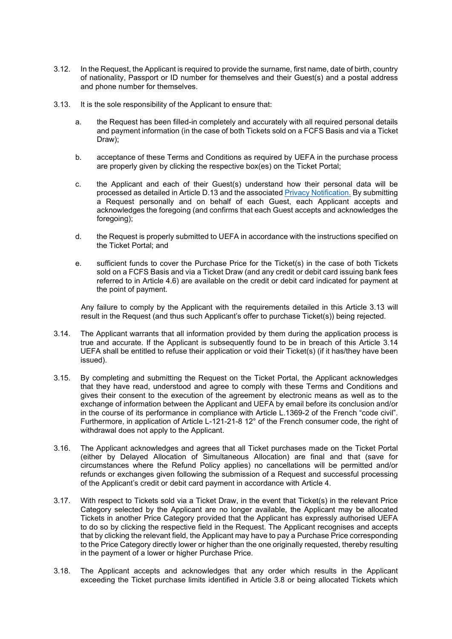- <span id="page-5-2"></span>3.12. In the Request, the Applicant is required to provide the surname, first name, date of birth, country of nationality, Passport or ID number for themselves and their Guest(s) and a postal address and phone number for themselves.
- <span id="page-5-0"></span>3.13. It is the sole responsibility of the Applicant to ensure that:
	- a. the Request has been filled-in completely and accurately with all required personal details and payment information (in the case of both Tickets sold on a FCFS Basis and via a Ticket Draw);
	- b. acceptance of these Terms and Conditions as required by UEFA in the purchase process are properly given by clicking the respective box(es) on the Ticket Portal;
	- c. the Applicant and each of their Guest(s) understand how their personal data will be processed as detailed in Article [D.13](#page-14-0) and the associated [Privacy Notification.](https://ticketingdocs.page.link/UCLF22-GP_Privacy_Notification_ENG) By submitting a Request personally and on behalf of each Guest, each Applicant accepts and acknowledges the foregoing (and confirms that each Guest accepts and acknowledges the foregoing);
	- d. the Request is properly submitted to UEFA in accordance with the instructions specified on the Ticket Portal; and
	- e. sufficient funds to cover the Purchase Price for the Ticket(s) in the case of both Tickets sold on a FCFS Basis and via a Ticket Draw (and any credit or debit card issuing bank fees referred to in Article [4.6\)](#page-7-1) are available on the credit or debit card indicated for payment at the point of payment.

Any failure to comply by the Applicant with the requirements detailed in this Article [3.13](#page-5-0) will result in the Request (and thus such Applicant's offer to purchase Ticket(s)) being rejected.

- <span id="page-5-1"></span>3.14. The Applicant warrants that all information provided by them during the application process is true and accurate. If the Applicant is subsequently found to be in breach of this Article [3.14](#page-5-1) UEFA shall be entitled to refuse their application or void their Ticket(s) (if it has/they have been issued).
- 3.15. By completing and submitting the Request on the Ticket Portal, the Applicant acknowledges that they have read, understood and agree to comply with these Terms and Conditions and gives their consent to the execution of the agreement by electronic means as well as to the exchange of information between the Applicant and UEFA by email before its conclusion and/or in the course of its performance in compliance with Article L.1369-2 of the French "code civil". Furthermore, in application of Article L-121-21-8 12° of the French consumer code, the right of withdrawal does not apply to the Applicant.
- 3.16. The Applicant acknowledges and agrees that all Ticket purchases made on the Ticket Portal (either by Delayed Allocation of Simultaneous Allocation) are final and that (save for circumstances where the Refund Policy applies) no cancellations will be permitted and/or refunds or exchanges given following the submission of a Request and successful processing of the Applicant's credit or debit card payment in accordance with Article [4.](#page-6-1)
- 3.17. With respect to Tickets sold via a Ticket Draw, in the event that Ticket(s) in the relevant Price Category selected by the Applicant are no longer available, the Applicant may be allocated Tickets in another Price Category provided that the Applicant has expressly authorised UEFA to do so by clicking the respective field in the Request. The Applicant recognises and accepts that by clicking the relevant field, the Applicant may have to pay a Purchase Price corresponding to the Price Category directly lower or higher than the one originally requested, thereby resulting in the payment of a lower or higher Purchase Price.
- 3.18. The Applicant accepts and acknowledges that any order which results in the Applicant exceeding the Ticket purchase limits identified in Article [3.8](#page-4-2) or being allocated Tickets which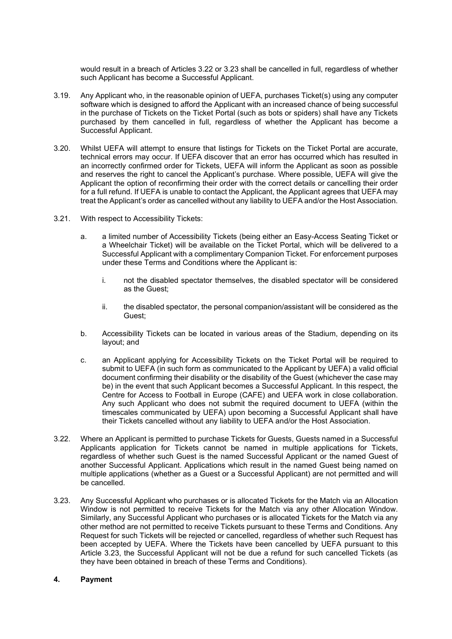would result in a breach of Articles [3.22](#page-6-2) or [3.23](#page-6-3) shall be cancelled in full, regardless of whether such Applicant has become a Successful Applicant.

- 3.19. Any Applicant who, in the reasonable opinion of UEFA, purchases Ticket(s) using any computer software which is designed to afford the Applicant with an increased chance of being successful in the purchase of Tickets on the Ticket Portal (such as bots or spiders) shall have any Tickets purchased by them cancelled in full, regardless of whether the Applicant has become a Successful Applicant.
- 3.20. Whilst UEFA will attempt to ensure that listings for Tickets on the Ticket Portal are accurate, technical errors may occur. If UEFA discover that an error has occurred which has resulted in an incorrectly confirmed order for Tickets, UEFA will inform the Applicant as soon as possible and reserves the right to cancel the Applicant's purchase. Where possible, UEFA will give the Applicant the option of reconfirming their order with the correct details or cancelling their order for a full refund. If UEFA is unable to contact the Applicant, the Applicant agrees that UEFA may treat the Applicant's order as cancelled without any liability to UEFA and/or the Host Association.
- <span id="page-6-0"></span>3.21. With respect to Accessibility Tickets:
	- a. a limited number of Accessibility Tickets (being either an Easy-Access Seating Ticket or a Wheelchair Ticket) will be available on the Ticket Portal, which will be delivered to a Successful Applicant with a complimentary Companion Ticket. For enforcement purposes under these Terms and Conditions where the Applicant is:
		- i. not the disabled spectator themselves, the disabled spectator will be considered as the Guest;
		- ii. the disabled spectator, the personal companion/assistant will be considered as the Guest;
	- b. Accessibility Tickets can be located in various areas of the Stadium, depending on its layout; and
	- c. an Applicant applying for Accessibility Tickets on the Ticket Portal will be required to submit to UEFA (in such form as communicated to the Applicant by UEFA) a valid official document confirming their disability or the disability of the Guest (whichever the case may be) in the event that such Applicant becomes a Successful Applicant. In this respect, the Centre for Access to Football in Europe (CAFE) and UEFA work in close collaboration. Any such Applicant who does not submit the required document to UEFA (within the timescales communicated by UEFA) upon becoming a Successful Applicant shall have their Tickets cancelled without any liability to UEFA and/or the Host Association.
- <span id="page-6-2"></span>3.22. Where an Applicant is permitted to purchase Tickets for Guests, Guests named in a Successful Applicants application for Tickets cannot be named in multiple applications for Tickets, regardless of whether such Guest is the named Successful Applicant or the named Guest of another Successful Applicant. Applications which result in the named Guest being named on multiple applications (whether as a Guest or a Successful Applicant) are not permitted and will be cancelled.
- <span id="page-6-3"></span>3.23. Any Successful Applicant who purchases or is allocated Tickets for the Match via an Allocation Window is not permitted to receive Tickets for the Match via any other Allocation Window. Similarly, any Successful Applicant who purchases or is allocated Tickets for the Match via any other method are not permitted to receive Tickets pursuant to these Terms and Conditions. Any Request for such Tickets will be rejected or cancelled, regardless of whether such Request has been accepted by UEFA. Where the Tickets have been cancelled by UEFA pursuant to this Article [3.23,](#page-6-3) the Successful Applicant will not be due a refund for such cancelled Tickets (as they have been obtained in breach of these Terms and Conditions).

#### <span id="page-6-1"></span>**4. Payment**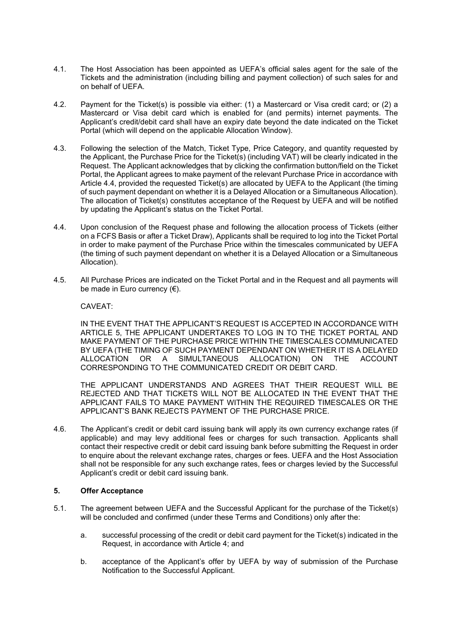- 4.1. The Host Association has been appointed as UEFA's official sales agent for the sale of the Tickets and the administration (including billing and payment collection) of such sales for and on behalf of UEFA.
- 4.2. Payment for the Ticket(s) is possible via either: (1) a Mastercard or Visa credit card; or (2) a Mastercard or Visa debit card which is enabled for (and permits) internet payments. The Applicant's credit/debit card shall have an expiry date beyond the date indicated on the Ticket Portal (which will depend on the applicable Allocation Window).
- 4.3. Following the selection of the Match, Ticket Type, Price Category, and quantity requested by the Applicant, the Purchase Price for the Ticket(s) (including VAT) will be clearly indicated in the Request. The Applicant acknowledges that by clicking the confirmation button/field on the Ticket Portal, the Applicant agrees to make payment of the relevant Purchase Price in accordance with Article [4.4,](#page-7-2) provided the requested Ticket(s) are allocated by UEFA to the Applicant (the timing of such payment dependant on whether it is a Delayed Allocation or a Simultaneous Allocation). The allocation of Ticket(s) constitutes acceptance of the Request by UEFA and will be notified by updating the Applicant's status on the Ticket Portal.
- <span id="page-7-2"></span>4.4. Upon conclusion of the Request phase and following the allocation process of Tickets (either on a FCFS Basis or after a Ticket Draw), Applicants shall be required to log into the Ticket Portal in order to make payment of the Purchase Price within the timescales communicated by UEFA (the timing of such payment dependant on whether it is a Delayed Allocation or a Simultaneous Allocation).
- 4.5. All Purchase Prices are indicated on the Ticket Portal and in the Request and all payments will be made in Euro currency (€).

CAVEAT:

IN THE EVENT THAT THE APPLICANT'S REQUEST IS ACCEPTED IN ACCORDANCE WITH ARTICLE 5, THE APPLICANT UNDERTAKES TO LOG IN TO THE TICKET PORTAL AND MAKE PAYMENT OF THE PURCHASE PRICE WITHIN THE TIMESCALES COMMUNICATED BY UEFA (THE TIMING OF SUCH PAYMENT DEPENDANT ON WHETHER IT IS A DELAYED<br>ALLOCATION OR A SIMULTANEOUS ALLOCATION) ON THE ACCOUNT OR A SIMULTANEOUS ALLOCATION) ON THE ACCOUNT CORRESPONDING TO THE COMMUNICATED CREDIT OR DEBIT CARD.

THE APPLICANT UNDERSTANDS AND AGREES THAT THEIR REQUEST WILL BE REJECTED AND THAT TICKETS WILL NOT BE ALLOCATED IN THE EVENT THAT THE APPLICANT FAILS TO MAKE PAYMENT WITHIN THE REQUIRED TIMESCALES OR THE APPLICANT'S BANK REJECTS PAYMENT OF THE PURCHASE PRICE.

<span id="page-7-1"></span>4.6. The Applicant's credit or debit card issuing bank will apply its own currency exchange rates (if applicable) and may levy additional fees or charges for such transaction. Applicants shall contact their respective credit or debit card issuing bank before submitting the Request in order to enquire about the relevant exchange rates, charges or fees. UEFA and the Host Association shall not be responsible for any such exchange rates, fees or charges levied by the Successful Applicant's credit or debit card issuing bank.

### <span id="page-7-0"></span>**5. Offer Acceptance**

- <span id="page-7-3"></span>5.1. The agreement between UEFA and the Successful Applicant for the purchase of the Ticket(s) will be concluded and confirmed (under these Terms and Conditions) only after the:
	- a. successful processing of the credit or debit card payment for the Ticket(s) indicated in the Request, in accordance with Article [4;](#page-6-1) and
	- b. acceptance of the Applicant's offer by UEFA by way of submission of the Purchase Notification to the Successful Applicant.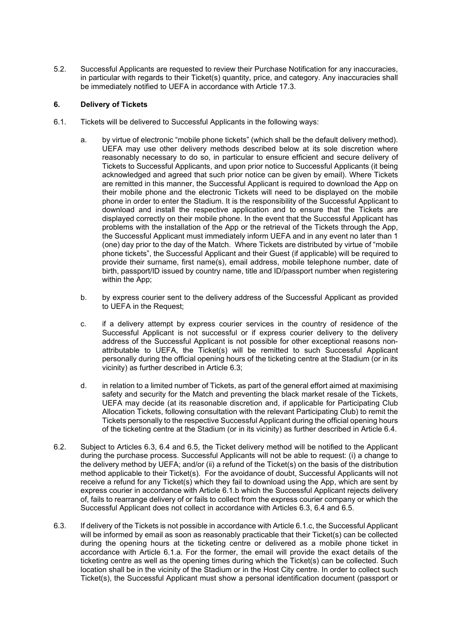5.2. Successful Applicants are requested to review their Purchase Notification for any inaccuracies, in particular with regards to their Ticket(s) quantity, price, and category. Any inaccuracies shall be immediately notified to UEFA in accordance with Article [17.3.](#page-17-0)

## **6. Delivery of Tickets**

- <span id="page-8-2"></span>6.1. Tickets will be delivered to Successful Applicants in the following ways:
	- a. by virtue of electronic "mobile phone tickets" (which shall be the default delivery method). UEFA may use other delivery methods described below at its sole discretion where reasonably necessary to do so, in particular to ensure efficient and secure delivery of Tickets to Successful Applicants, and upon prior notice to Successful Applicants (it being acknowledged and agreed that such prior notice can be given by email). Where Tickets are remitted in this manner, the Successful Applicant is required to download the App on their mobile phone and the electronic Tickets will need to be displayed on the mobile phone in order to enter the Stadium. It is the responsibility of the Successful Applicant to download and install the respective application and to ensure that the Tickets are displayed correctly on their mobile phone. In the event that the Successful Applicant has problems with the installation of the App or the retrieval of the Tickets through the App, the Successful Applicant must immediately inform UEFA and in any event no later than 1 (one) day prior to the day of the Match. Where Tickets are distributed by virtue of "mobile phone tickets", the Successful Applicant and their Guest (if applicable) will be required to provide their surname, first name(s), email address, mobile telephone number, date of birth, passport/ID issued by country name, title and ID/passport number when registering within the App;
	- b. by express courier sent to the delivery address of the Successful Applicant as provided to UEFA in the Request;
	- c. if a delivery attempt by express courier services in the country of residence of the Successful Applicant is not successful or if express courier delivery to the delivery address of the Successful Applicant is not possible for other exceptional reasons nonattributable to UEFA, the Ticket(s) will be remitted to such Successful Applicant personally during the official opening hours of the ticketing centre at the Stadium (or in its vicinity) as further described in Article [6.3;](#page-8-0)
	- d. in relation to a limited number of Tickets, as part of the general effort aimed at maximising safety and security for the Match and preventing the black market resale of the Tickets, UEFA may decide (at its reasonable discretion and, if applicable for Participating Club Allocation Tickets, following consultation with the relevant Participating Club) to remit the Tickets personally to the respective Successful Applicant during the official opening hours of the ticketing centre at the Stadium (or in its vicinity) as further described in Article [6.4.](#page-9-0)
- <span id="page-8-3"></span><span id="page-8-1"></span>6.2. Subject to Articles [6.3,](#page-8-0) [6.4](#page-9-0) and 6.5, the Ticket delivery method will be notified to the Applicant during the purchase process. Successful Applicants will not be able to request: (i) a change to the delivery method by UEFA; and/or (ii) a refund of the Ticket(s) on the basis of the distribution method applicable to their Ticket(s). For the avoidance of doubt, Successful Applicants will not receive a refund for any Ticket(s) which they fail to download using the App, which are sent by express courier in accordance with Article 6.1.b which the Successful Applicant rejects delivery of, fails to rearrange delivery of or fails to collect from the express courier company or which the Successful Applicant does not collect in accordance with Articles [6.3,](#page-8-0) [6.4](#page-9-0) and 6.5.
- <span id="page-8-0"></span>6.3. If delivery of the Tickets is not possible in accordance with Article [6.1.c,](#page-8-1) the Successful Applicant will be informed by email as soon as reasonably practicable that their Ticket(s) can be collected during the opening hours at the ticketing centre or delivered as a mobile phone ticket in accordance with Article [6.1.a.](#page-8-2) For the former, the email will provide the exact details of the ticketing centre as well as the opening times during which the Ticket(s) can be collected. Such location shall be in the vicinity of the Stadium or in the Host City centre. In order to collect such Ticket(s), the Successful Applicant must show a personal identification document (passport or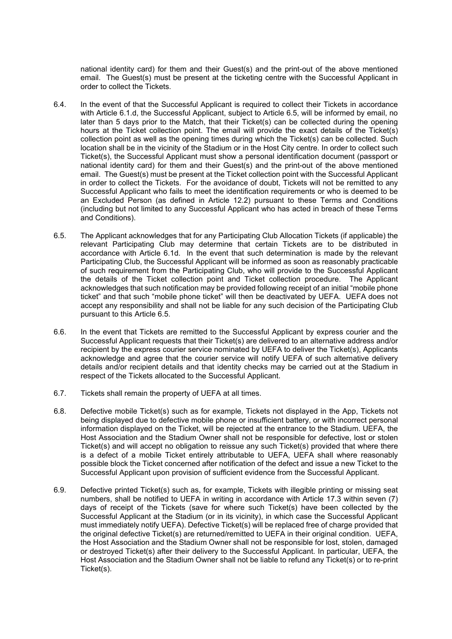national identity card) for them and their Guest(s) and the print-out of the above mentioned email. The Guest(s) must be present at the ticketing centre with the Successful Applicant in order to collect the Tickets.

- <span id="page-9-0"></span>6.4. In the event of that the Successful Applicant is required to collect their Tickets in accordance with Article [6.1.d,](#page-8-3) the Successful Applicant, subject to Article 6.5, will be informed by email, no later than 5 days prior to the Match, that their Ticket(s) can be collected during the opening hours at the Ticket collection point. The email will provide the exact details of the Ticket(s) collection point as well as the opening times during which the Ticket(s) can be collected. Such location shall be in the vicinity of the Stadium or in the Host City centre. In order to collect such Ticket(s), the Successful Applicant must show a personal identification document (passport or national identity card) for them and their Guest(s) and the print-out of the above mentioned email. The Guest(s) must be present at the Ticket collection point with the Successful Applicant in order to collect the Tickets. For the avoidance of doubt, Tickets will not be remitted to any Successful Applicant who fails to meet the identification requirements or who is deemed to be an Excluded Person (as defined in Article 12.2) pursuant to these Terms and Conditions (including but not limited to any Successful Applicant who has acted in breach of these Terms and Conditions).
- 6.5. The Applicant acknowledges that for any Participating Club Allocation Tickets (if applicable) the relevant Participating Club may determine that certain Tickets are to be distributed in accordance with Article 6.1d. In the event that such determination is made by the relevant Participating Club, the Successful Applicant will be informed as soon as reasonably practicable of such requirement from the Participating Club, who will provide to the Successful Applicant the details of the Ticket collection point and Ticket collection procedure. The Applicant acknowledges that such notification may be provided following receipt of an initial "mobile phone ticket" and that such "mobile phone ticket" will then be deactivated by UEFA. UEFA does not accept any responsibility and shall not be liable for any such decision of the Participating Club pursuant to this Article 6.5.
- 6.6. In the event that Tickets are remitted to the Successful Applicant by express courier and the Successful Applicant requests that their Ticket(s) are delivered to an alternative address and/or recipient by the express courier service nominated by UEFA to deliver the Ticket(s), Applicants acknowledge and agree that the courier service will notify UEFA of such alternative delivery details and/or recipient details and that identity checks may be carried out at the Stadium in respect of the Tickets allocated to the Successful Applicant.
- 6.7. Tickets shall remain the property of UEFA at all times.
- 6.8. Defective mobile Ticket(s) such as for example, Tickets not displayed in the App, Tickets not being displayed due to defective mobile phone or insufficient battery, or with incorrect personal information displayed on the Ticket, will be rejected at the entrance to the Stadium. UEFA, the Host Association and the Stadium Owner shall not be responsible for defective, lost or stolen Ticket(s) and will accept no obligation to reissue any such Ticket(s) provided that where there is a defect of a mobile Ticket entirely attributable to UEFA, UEFA shall where reasonably possible block the Ticket concerned after notification of the defect and issue a new Ticket to the Successful Applicant upon provision of sufficient evidence from the Successful Applicant.
- 6.9. Defective printed Ticket(s) such as, for example, Tickets with illegible printing or missing seat numbers, shall be notified to UEFA in writing in accordance with Article [17.3](#page-17-0) within seven (7) days of receipt of the Tickets (save for where such Ticket(s) have been collected by the Successful Applicant at the Stadium (or in its vicinity), in which case the Successful Applicant must immediately notify UEFA). Defective Ticket(s) will be replaced free of charge provided that the original defective Ticket(s) are returned/remitted to UEFA in their original condition. UEFA, the Host Association and the Stadium Owner shall not be responsible for lost, stolen, damaged or destroyed Ticket(s) after their delivery to the Successful Applicant. In particular, UEFA, the Host Association and the Stadium Owner shall not be liable to refund any Ticket(s) or to re-print Ticket(s).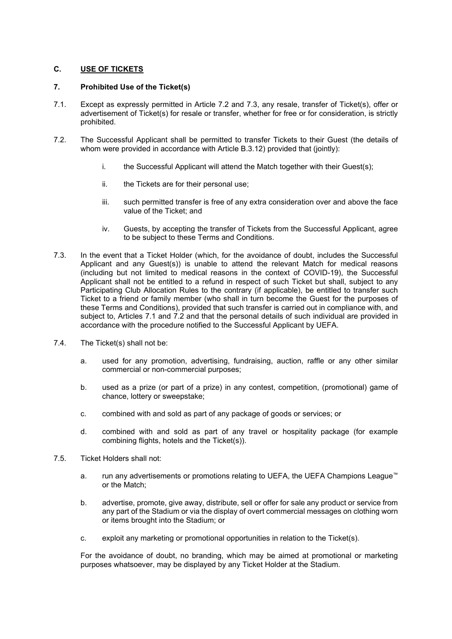## **C. USE OF TICKETS**

### <span id="page-10-2"></span>**7. Prohibited Use of the Ticket(s)**

- 7.1. Except as expressly permitted in Article [7.2](#page-10-0) and [7.3,](#page-10-1) any resale, transfer of Ticket(s), offer or advertisement of Ticket(s) for resale or transfer, whether for free or for consideration, is strictly prohibited.
- <span id="page-10-0"></span>7.2. The Successful Applicant shall be permitted to transfer Tickets to their Guest (the details of whom were provided in accordance with Article [B.3.12\)](#page-5-2) provided that (jointly):
	- i. the Successful Applicant will attend the Match together with their Guest(s);
	- ii. the Tickets are for their personal use;
	- iii. such permitted transfer is free of any extra consideration over and above the face value of the Ticket; and
	- iv. Guests, by accepting the transfer of Tickets from the Successful Applicant, agree to be subject to these Terms and Conditions.
- <span id="page-10-1"></span>7.3. In the event that a Ticket Holder (which, for the avoidance of doubt, includes the Successful Applicant and any Guest(s)) is unable to attend the relevant Match for medical reasons (including but not limited to medical reasons in the context of COVID-19), the Successful Applicant shall not be entitled to a refund in respect of such Ticket but shall, subject to any Participating Club Allocation Rules to the contrary (if applicable), be entitled to transfer such Ticket to a friend or family member (who shall in turn become the Guest for the purposes of these Terms and Conditions), provided that such transfer is carried out in compliance with, and subject to, Articles 7.1 and 7.2 and that the personal details of such individual are provided in accordance with the procedure notified to the Successful Applicant by UEFA.
- 7.4. The Ticket(s) shall not be:
	- a. used for any promotion, advertising, fundraising, auction, raffle or any other similar commercial or non-commercial purposes;
	- b. used as a prize (or part of a prize) in any contest, competition, (promotional) game of chance, lottery or sweepstake;
	- c. combined with and sold as part of any package of goods or services; or
	- d. combined with and sold as part of any travel or hospitality package (for example combining flights, hotels and the Ticket(s)).
- 7.5. Ticket Holders shall not:
	- a. run any advertisements or promotions relating to UEFA, the UEFA Champions League™ or the Match;
	- b. advertise, promote, give away, distribute, sell or offer for sale any product or service from any part of the Stadium or via the display of overt commercial messages on clothing worn or items brought into the Stadium; or
	- c. exploit any marketing or promotional opportunities in relation to the Ticket(s).

For the avoidance of doubt, no branding, which may be aimed at promotional or marketing purposes whatsoever, may be displayed by any Ticket Holder at the Stadium.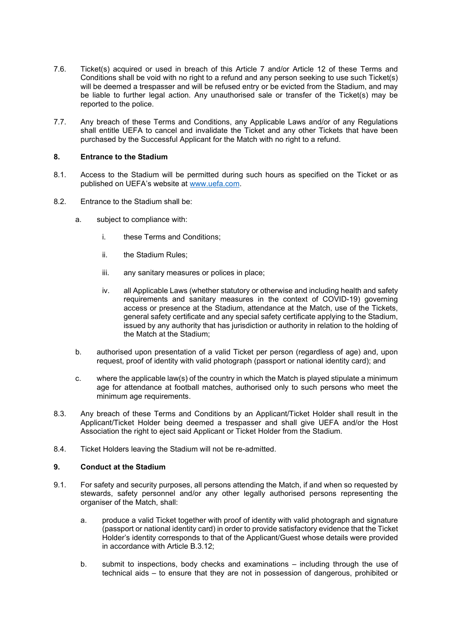- 7.6. Ticket(s) acquired or used in breach of this Article [7](#page-10-2) and/or Article 12 of these Terms and Conditions shall be void with no right to a refund and any person seeking to use such Ticket(s) will be deemed a trespasser and will be refused entry or be evicted from the Stadium, and may be liable to further legal action. Any unauthorised sale or transfer of the Ticket(s) may be reported to the police.
- 7.7. Any breach of these Terms and Conditions, any Applicable Laws and/or of any Regulations shall entitle UEFA to cancel and invalidate the Ticket and any other Tickets that have been purchased by the Successful Applicant for the Match with no right to a refund.

### **8. Entrance to the Stadium**

- 8.1. Access to the Stadium will be permitted during such hours as specified on the Ticket or as published on UEFA's website at [www.uefa.com.](http://www.uefa.com/)
- 8.2. Entrance to the Stadium shall be:
	- a. subject to compliance with:
		- i. these Terms and Conditions;
		- ii. the Stadium Rules;
		- iii. any sanitary measures or polices in place;
		- iv. all Applicable Laws (whether statutory or otherwise and including health and safety requirements and sanitary measures in the context of COVID-19) governing access or presence at the Stadium, attendance at the Match, use of the Tickets, general safety certificate and any special safety certificate applying to the Stadium, issued by any authority that has jurisdiction or authority in relation to the holding of the Match at the Stadium;
	- b. authorised upon presentation of a valid Ticket per person (regardless of age) and, upon request, proof of identity with valid photograph (passport or national identity card); and
	- c. where the applicable law(s) of the country in which the Match is played stipulate a minimum age for attendance at football matches, authorised only to such persons who meet the minimum age requirements.
- 8.3. Any breach of these Terms and Conditions by an Applicant/Ticket Holder shall result in the Applicant/Ticket Holder being deemed a trespasser and shall give UEFA and/or the Host Association the right to eject said Applicant or Ticket Holder from the Stadium.
- 8.4. Ticket Holders leaving the Stadium will not be re-admitted.

#### **9. Conduct at the Stadium**

- 9.1. For safety and security purposes, all persons attending the Match, if and when so requested by stewards, safety personnel and/or any other legally authorised persons representing the organiser of the Match, shall:
	- a. produce a valid Ticket together with proof of identity with valid photograph and signature (passport or national identity card) in order to provide satisfactory evidence that the Ticket Holder's identity corresponds to that of the Applicant/Guest whose details were provided in accordance with Article [B.3.12;](#page-5-2)
	- b. submit to inspections, body checks and examinations including through the use of technical aids – to ensure that they are not in possession of dangerous, prohibited or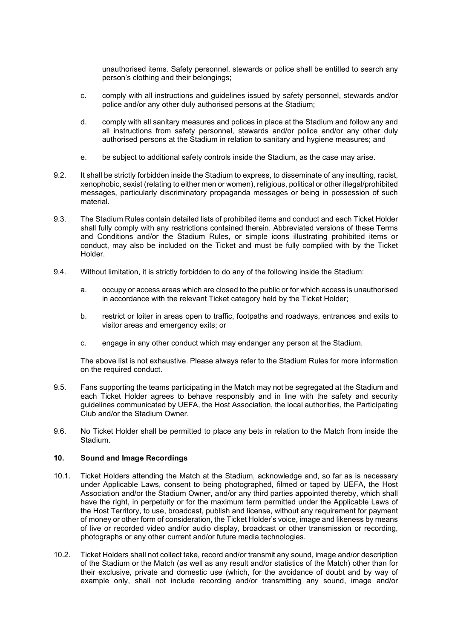unauthorised items. Safety personnel, stewards or police shall be entitled to search any person's clothing and their belongings;

- c. comply with all instructions and guidelines issued by safety personnel, stewards and/or police and/or any other duly authorised persons at the Stadium;
- d. comply with all sanitary measures and polices in place at the Stadium and follow any and all instructions from safety personnel, stewards and/or police and/or any other duly authorised persons at the Stadium in relation to sanitary and hygiene measures; and
- e. be subject to additional safety controls inside the Stadium, as the case may arise.
- 9.2. It shall be strictly forbidden inside the Stadium to express, to disseminate of any insulting, racist, xenophobic, sexist (relating to either men or women), religious, political or other illegal/prohibited messages, particularly discriminatory propaganda messages or being in possession of such material.
- 9.3. The Stadium Rules contain detailed lists of prohibited items and conduct and each Ticket Holder shall fully comply with any restrictions contained therein. Abbreviated versions of these Terms and Conditions and/or the Stadium Rules, or simple icons illustrating prohibited items or conduct, may also be included on the Ticket and must be fully complied with by the Ticket Holder.
- 9.4. Without limitation, it is strictly forbidden to do any of the following inside the Stadium:
	- a. occupy or access areas which are closed to the public or for which access is unauthorised in accordance with the relevant Ticket category held by the Ticket Holder;
	- b. restrict or loiter in areas open to traffic, footpaths and roadways, entrances and exits to visitor areas and emergency exits; or
	- c. engage in any other conduct which may endanger any person at the Stadium.

The above list is not exhaustive. Please always refer to the Stadium Rules for more information on the required conduct.

- 9.5. Fans supporting the teams participating in the Match may not be segregated at the Stadium and each Ticket Holder agrees to behave responsibly and in line with the safety and security guidelines communicated by UEFA, the Host Association, the local authorities, the Participating Club and/or the Stadium Owner.
- 9.6. No Ticket Holder shall be permitted to place any bets in relation to the Match from inside the Stadium.

### **10. Sound and Image Recordings**

- 10.1. Ticket Holders attending the Match at the Stadium, acknowledge and, so far as is necessary under Applicable Laws, consent to being photographed, filmed or taped by UEFA, the Host Association and/or the Stadium Owner, and/or any third parties appointed thereby, which shall have the right, in perpetuity or for the maximum term permitted under the Applicable Laws of the Host Territory, to use, broadcast, publish and license, without any requirement for payment of money or other form of consideration, the Ticket Holder's voice, image and likeness by means of live or recorded video and/or audio display, broadcast or other transmission or recording, photographs or any other current and/or future media technologies.
- 10.2. Ticket Holders shall not collect take, record and/or transmit any sound, image and/or description of the Stadium or the Match (as well as any result and/or statistics of the Match) other than for their exclusive, private and domestic use (which, for the avoidance of doubt and by way of example only, shall not include recording and/or transmitting any sound, image and/or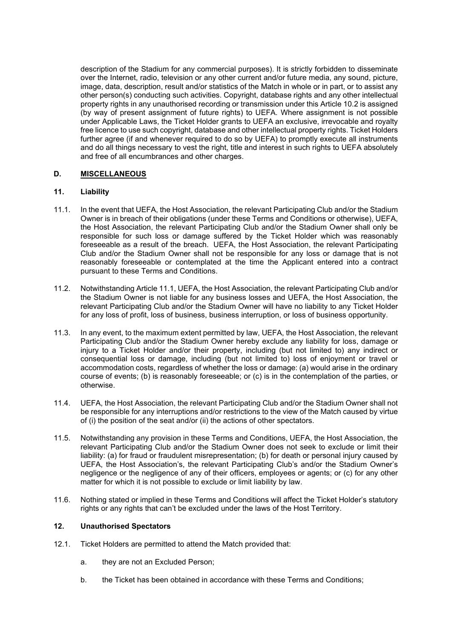description of the Stadium for any commercial purposes). It is strictly forbidden to disseminate over the Internet, radio, television or any other current and/or future media, any sound, picture, image, data, description, result and/or statistics of the Match in whole or in part, or to assist any other person(s) conducting such activities. Copyright, database rights and any other intellectual property rights in any unauthorised recording or transmission under this Article 10.2 is assigned (by way of present assignment of future rights) to UEFA. Where assignment is not possible under Applicable Laws, the Ticket Holder grants to UEFA an exclusive, irrevocable and royalty free licence to use such copyright, database and other intellectual property rights. Ticket Holders further agree (if and whenever required to do so by UEFA) to promptly execute all instruments and do all things necessary to vest the right, title and interest in such rights to UEFA absolutely and free of all encumbrances and other charges.

## **D. MISCELLANEOUS**

### <span id="page-13-2"></span>**11. Liability**

- <span id="page-13-0"></span>11.1. In the event that UEFA, the Host Association, the relevant Participating Club and/or the Stadium Owner is in breach of their obligations (under these Terms and Conditions or otherwise), UEFA, the Host Association, the relevant Participating Club and/or the Stadium Owner shall only be responsible for such loss or damage suffered by the Ticket Holder which was reasonably foreseeable as a result of the breach. UEFA, the Host Association, the relevant Participating Club and/or the Stadium Owner shall not be responsible for any loss or damage that is not reasonably foreseeable or contemplated at the time the Applicant entered into a contract pursuant to these Terms and Conditions.
- 11.2. Notwithstanding Article [11.1,](#page-13-0) UEFA, the Host Association, the relevant Participating Club and/or the Stadium Owner is not liable for any business losses and UEFA, the Host Association, the relevant Participating Club and/or the Stadium Owner will have no liability to any Ticket Holder for any loss of profit, loss of business, business interruption, or loss of business opportunity.
- 11.3. In any event, to the maximum extent permitted by law, UEFA, the Host Association, the relevant Participating Club and/or the Stadium Owner hereby exclude any liability for loss, damage or injury to a Ticket Holder and/or their property, including (but not limited to) any indirect or consequential loss or damage, including (but not limited to) loss of enjoyment or travel or accommodation costs, regardless of whether the loss or damage: (a) would arise in the ordinary course of events; (b) is reasonably foreseeable; or (c) is in the contemplation of the parties, or otherwise.
- 11.4. UEFA, the Host Association, the relevant Participating Club and/or the Stadium Owner shall not be responsible for any interruptions and/or restrictions to the view of the Match caused by virtue of (i) the position of the seat and/or (ii) the actions of other spectators.
- 11.5. Notwithstanding any provision in these Terms and Conditions, UEFA, the Host Association, the relevant Participating Club and/or the Stadium Owner does not seek to exclude or limit their liability: (a) for fraud or fraudulent misrepresentation; (b) for death or personal injury caused by UEFA, the Host Association's, the relevant Participating Club's and/or the Stadium Owner's negligence or the negligence of any of their officers, employees or agents; or (c) for any other matter for which it is not possible to exclude or limit liability by law.
- 11.6. Nothing stated or implied in these Terms and Conditions will affect the Ticket Holder's statutory rights or any rights that can't be excluded under the laws of the Host Territory.

## **12. Unauthorised Spectators**

- <span id="page-13-1"></span>12.1. Ticket Holders are permitted to attend the Match provided that:
	- a. they are not an Excluded Person;
	- b. the Ticket has been obtained in accordance with these Terms and Conditions;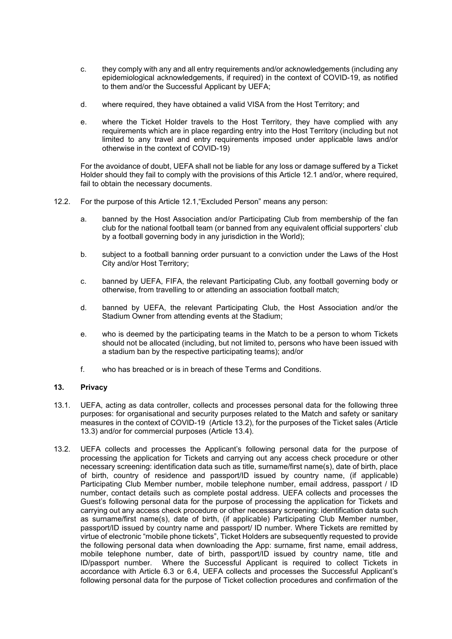- c. they comply with any and all entry requirements and/or acknowledgements (including any epidemiological acknowledgements, if required) in the context of COVID-19, as notified to them and/or the Successful Applicant by UEFA;
- d. where required, they have obtained a valid VISA from the Host Territory; and
- e. where the Ticket Holder travels to the Host Territory, they have complied with any requirements which are in place regarding entry into the Host Territory (including but not limited to any travel and entry requirements imposed under applicable laws and/or otherwise in the context of COVID-19)

For the avoidance of doubt, UEFA shall not be liable for any loss or damage suffered by a Ticket Holder should they fail to comply with the provisions of this Article [12.1](#page-13-1) and/or, where required, fail to obtain the necessary documents.

- 12.2. For the purpose of this Article [12.1,](#page-13-1)"Excluded Person" means any person:
	- a. banned by the Host Association and/or Participating Club from membership of the fan club for the national football team (or banned from any equivalent official supporters' club by a football governing body in any jurisdiction in the World);
	- b. subject to a football banning order pursuant to a conviction under the Laws of the Host City and/or Host Territory;
	- c. banned by UEFA, FIFA, the relevant Participating Club, any football governing body or otherwise, from travelling to or attending an association football match;
	- d. banned by UEFA, the relevant Participating Club, the Host Association and/or the Stadium Owner from attending events at the Stadium;
	- e. who is deemed by the participating teams in the Match to be a person to whom Tickets should not be allocated (including, but not limited to, persons who have been issued with a stadium ban by the respective participating teams); and/or
	- f. who has breached or is in breach of these Terms and Conditions.

## <span id="page-14-0"></span>**13. Privacy**

- 13.1. UEFA, acting as data controller, collects and processes personal data for the following three purposes: for organisational and security purposes related to the Match and safety or sanitary measures in the context of COVID-19 (Article [13.2\)](#page-14-1), for the purposes of the Ticket sales (Article [13.3\)](#page-15-0) and/or for commercial purposes (Article [13.4\)](#page-15-1).
- <span id="page-14-1"></span>13.2. UEFA collects and processes the Applicant's following personal data for the purpose of processing the application for Tickets and carrying out any access check procedure or other necessary screening: identification data such as title, surname/first name(s), date of birth, place of birth, country of residence and passport/ID issued by country name, (if applicable) Participating Club Member number, mobile telephone number, email address, passport / ID number, contact details such as complete postal address. UEFA collects and processes the Guest's following personal data for the purpose of processing the application for Tickets and carrying out any access check procedure or other necessary screening: identification data such as surname/first name(s), date of birth, (if applicable) Participating Club Member number, passport/ID issued by country name and passport/ ID number. Where Tickets are remitted by virtue of electronic "mobile phone tickets", Ticket Holders are subsequently requested to provide the following personal data when downloading the App: surname, first name, email address, mobile telephone number, date of birth, passport/ID issued by country name, title and ID/passport number. Where the Successful Applicant is required to collect Tickets in accordance with Article [6.3](#page-8-0) or [6.4,](#page-9-0) UEFA collects and processes the Successful Applicant's following personal data for the purpose of Ticket collection procedures and confirmation of the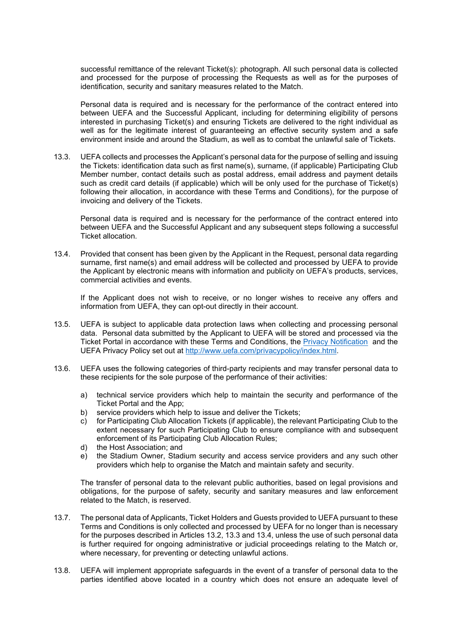successful remittance of the relevant Ticket(s): photograph. All such personal data is collected and processed for the purpose of processing the Requests as well as for the purposes of identification, security and sanitary measures related to the Match.

Personal data is required and is necessary for the performance of the contract entered into between UEFA and the Successful Applicant, including for determining eligibility of persons interested in purchasing Ticket(s) and ensuring Tickets are delivered to the right individual as well as for the legitimate interest of guaranteeing an effective security system and a safe environment inside and around the Stadium, as well as to combat the unlawful sale of Tickets.

<span id="page-15-0"></span>13.3. UEFA collects and processes the Applicant's personal data for the purpose of selling and issuing the Tickets: identification data such as first name(s), surname, (if applicable) Participating Club Member number, contact details such as postal address, email address and payment details such as credit card details (if applicable) which will be only used for the purchase of Ticket(s) following their allocation, in accordance with these Terms and Conditions), for the purpose of invoicing and delivery of the Tickets.

Personal data is required and is necessary for the performance of the contract entered into between UEFA and the Successful Applicant and any subsequent steps following a successful Ticket allocation.

<span id="page-15-1"></span>13.4. Provided that consent has been given by the Applicant in the Request, personal data regarding surname, first name(s) and email address will be collected and processed by UEFA to provide the Applicant by electronic means with information and publicity on UEFA's products, services, commercial activities and events.

If the Applicant does not wish to receive, or no longer wishes to receive any offers and information from UEFA, they can opt-out directly in their account.

- 13.5. UEFA is subject to applicable data protection laws when collecting and processing personal data. Personal data submitted by the Applicant to UEFA will be stored and processed via the Ticket Portal in accordance with these Terms and Conditions, the [Privacy Notification](https://ticketingdocs.page.link/UCLF22-GP_Privacy_Notification_ENG) and the UEFA Privacy Policy set out at [http://www.uefa.com/privacypolicy/index.html.](http://www.uefa.com/privacypolicy/index.html)
- 13.6. UEFA uses the following categories of third-party recipients and may transfer personal data to these recipients for the sole purpose of the performance of their activities:
	- a) technical service providers which help to maintain the security and performance of the Ticket Portal and the App;
	- b) service providers which help to issue and deliver the Tickets;
	- c) for Participating Club Allocation Tickets (if applicable), the relevant Participating Club to the extent necessary for such Participating Club to ensure compliance with and subsequent enforcement of its Participating Club Allocation Rules;
	- d) the Host Association; and
	- e) the Stadium Owner, Stadium security and access service providers and any such other providers which help to organise the Match and maintain safety and security.

The transfer of personal data to the relevant public authorities, based on legal provisions and obligations, for the purpose of safety, security and sanitary measures and law enforcement related to the Match, is reserved.

- 13.7. The personal data of Applicants, Ticket Holders and Guests provided to UEFA pursuant to these Terms and Conditions is only collected and processed by UEFA for no longer than is necessary for the purposes described in Articles [13.2,](#page-14-1) [13.3](#page-15-0) and [13.4,](#page-15-1) unless the use of such personal data is further required for ongoing administrative or judicial proceedings relating to the Match or, where necessary, for preventing or detecting unlawful actions.
- 13.8. UEFA will implement appropriate safeguards in the event of a transfer of personal data to the parties identified above located in a country which does not ensure an adequate level of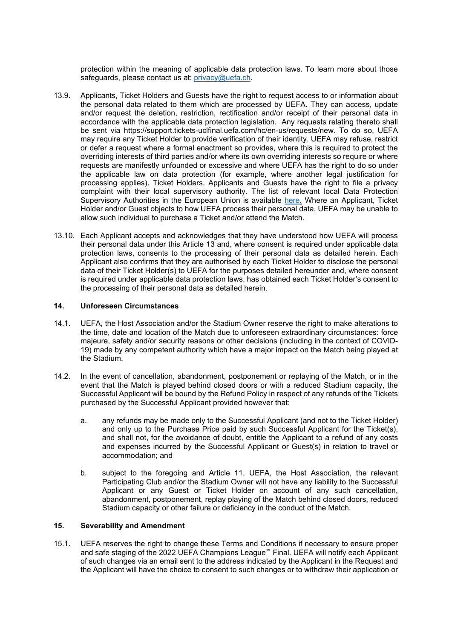protection within the meaning of applicable data protection laws. To learn more about those safeguards, please contact us at: [privacy@uefa.ch.](mailto:privacy@uefa.ch)

- 13.9. Applicants, Ticket Holders and Guests have the right to request access to or information about the personal data related to them which are processed by UEFA. They can access, update and/or request the deletion, restriction, rectification and/or receipt of their personal data in accordance with the applicable data protection legislation. Any requests relating thereto shall be sent via [https://support.tickets-uclfinal.uefa.com/hc/en-us/requests/new.](https://support.tickets-uclfinal.uefa.com/hc/en-us/requests/new) To do so, UEFA may require any Ticket Holder to provide verification of their identity. UEFA may refuse, restrict or defer a request where a formal enactment so provides, where this is required to protect the overriding interests of third parties and/or where its own overriding interests so require or where requests are manifestly unfounded or excessive and where UEFA has the right to do so under the applicable law on data protection (for example, where another legal justification for processing applies). Ticket Holders, Applicants and Guests have the right to file a privacy complaint with their local supervisory authority. The list of relevant local Data Protection Supervisory Authorities in the European Union is available [here.](https://edpb.europa.eu/about-edpb/board/members_en) Where an Applicant, Ticket Holder and/or Guest objects to how UEFA process their personal data, UEFA may be unable to allow such individual to purchase a Ticket and/or attend the Match.
- 13.10. Each Applicant accepts and acknowledges that they have understood how UEFA will process their personal data under this Article 13 and, where consent is required under applicable data protection laws, consents to the processing of their personal data as detailed herein. Each Applicant also confirms that they are authorised by each Ticket Holder to disclose the personal data of their Ticket Holder(s) to UEFA for the purposes detailed hereunder and, where consent is required under applicable data protection laws, has obtained each Ticket Holder's consent to the processing of their personal data as detailed herein.

## **14. Unforeseen Circumstances**

- 14.1. UEFA, the Host Association and/or the Stadium Owner reserve the right to make alterations to the time, date and location of the Match due to unforeseen extraordinary circumstances: force majeure, safety and/or security reasons or other decisions (including in the context of COVID-19) made by any competent authority which have a major impact on the Match being played at the Stadium.
- 14.2. In the event of cancellation, abandonment, postponement or replaying of the Match, or in the event that the Match is played behind closed doors or with a reduced Stadium capacity, the Successful Applicant will be bound by the Refund Policy in respect of any refunds of the Tickets purchased by the Successful Applicant provided however that:
	- a. any refunds may be made only to the Successful Applicant (and not to the Ticket Holder) and only up to the Purchase Price paid by such Successful Applicant for the Ticket(s), and shall not, for the avoidance of doubt, entitle the Applicant to a refund of any costs and expenses incurred by the Successful Applicant or Guest(s) in relation to travel or accommodation; and
	- b. subject to the foregoing and Article [11,](#page-13-2) UEFA, the Host Association, the relevant Participating Club and/or the Stadium Owner will not have any liability to the Successful Applicant or any Guest or Ticket Holder on account of any such cancellation, abandonment, postponement, replay playing of the Match behind closed doors, reduced Stadium capacity or other failure or deficiency in the conduct of the Match.

### **15. Severability and Amendment**

15.1. UEFA reserves the right to change these Terms and Conditions if necessary to ensure proper and safe staging of the 2022 UEFA Champions League™ Final. UEFA will notify each Applicant of such changes via an email sent to the address indicated by the Applicant in the Request and the Applicant will have the choice to consent to such changes or to withdraw their application or